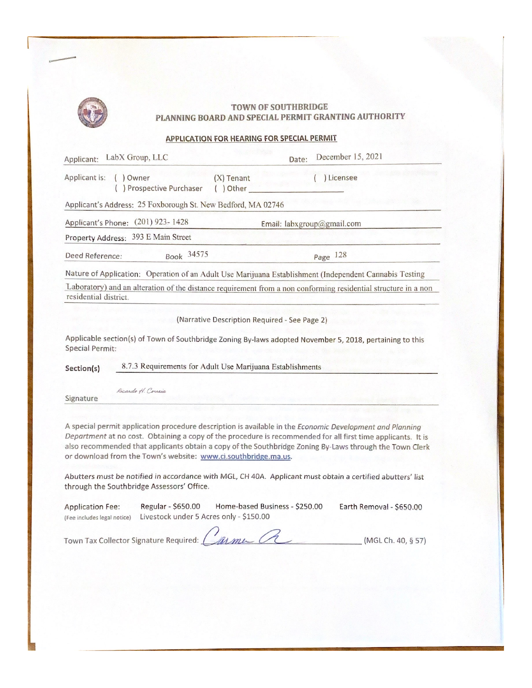

#### **TOWN OF SOUTHBRIDGE** PLANNING BOARD AND SPECIAL PERMIT GRANTING AUTHORITY

#### APPLICATION FOR HEARING FOR SPECIAL PERMIT

| LabX Group, LLC<br>Applicant:                                | December 15, 2021<br>Date:                                                                                     |  |
|--------------------------------------------------------------|----------------------------------------------------------------------------------------------------------------|--|
| Applicant is:<br>$()$ Owner<br>) Prospective Purchaser       | Licensee<br>$(X)$ Tenant<br>$()$ Other                                                                         |  |
| Applicant's Address: 25 Foxborough St. New Bedford, MA 02746 |                                                                                                                |  |
| $(201)$ 923-1428<br>Applicant's Phone:                       | Email: labxgroup@gmail.com                                                                                     |  |
| Property Address: 393 E Main Street                          |                                                                                                                |  |
| Book 34575<br>Deed Reference:                                | Page 128                                                                                                       |  |
|                                                              | Nature of Application: Operation of an Adult Use Marijuana Establishment (Independent Cannabis Testing         |  |
| residential district.                                        | Laboratory) and an alteration of the distance requirement from a non conforming residential structure in a non |  |
|                                                              | (Narrative Description Required - See Page 2)                                                                  |  |
| <b>Special Permit:</b>                                       | Applicable section(s) of Town of Southbridge Zoning By-laws adopted November 5, 2018, pertaining to this       |  |
| Section(s)                                                   | 8.7.3 Requirements for Adult Use Marijuana Establishments                                                      |  |
| Ricardo H. Correia<br>Signature                              |                                                                                                                |  |

A special permit application procedure description is available in the Economic Development and Planning Department at no cost. Obtaining a copy of the procedure is recommended for all first time applicants. It is also recommended that applicants obtain a copy of the Southbridge Zoning By-Laws through the Town Clerk or download from the Town's website: www.ci.southbridge.ma.us.

Abutters must be notified in accordance with MGL, CH 40A. Applicant must obtain a certified abutters' list through the Southbridge Assessors' Office.

| <b>Application Fee:</b>     | Regular - \$650.00                      | Home-based Business - \$250.00 | Earth Removal - \$650.00 |
|-----------------------------|-----------------------------------------|--------------------------------|--------------------------|
| (Fee includes legal notice) | Livestock under 5 Acres only - \$150.00 |                                |                          |

Town Tax Collector Signature Required: Carme CL (MGL Ch. 40, § 57)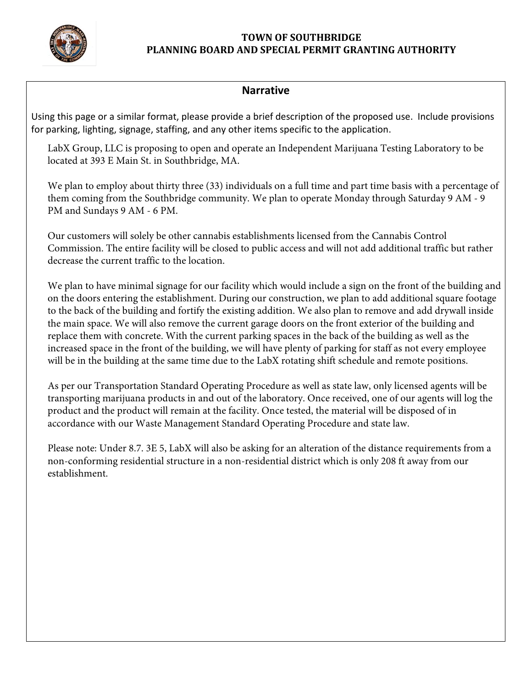

#### **TOWN OF SOUTHBRIDGE PLANNING BOARD AND SPECIAL PERMIT GRANTING AUTHORITY**

### **Narrative**

Using this page or a similar format, please provide a brief description of the proposed use. Include provisions for parking, lighting, signage, staffing, and any other items specific to the application.

LabX Group, LLC is proposing to open and operate an Independent Marijuana Testing Laboratory to be located at 393 E Main St. in Southbridge, MA.

We plan to employ about thirty three (33) individuals on a full time and part time basis with a percentage of them coming from the Southbridge community. We plan to operate Monday through Saturday 9 AM - 9 PM and Sundays 9 AM - 6 PM.

Our customers will solely be other cannabis establishments licensed from the Cannabis Control Commission. The entire facility will be closed to public access and will not add additional traffic but rather decrease the current traffic to the location.

We plan to have minimal signage for our facility which would include a sign on the front of the building and on the doors entering the establishment. During our construction, we plan to add additional square footage to the back of the building and fortify the existing addition. We also plan to remove and add drywall inside the main space. We will also remove the current garage doors on the front exterior of the building and replace them with concrete. With the current parking spaces in the back of the building as well as the increased space in the front of the building, we will have plenty of parking for staff as not every employee will be in the building at the same time due to the LabX rotating shift schedule and remote positions.

As per our Transportation Standard Operating Procedure as well as state law, only licensed agents will be transporting marijuana products in and out of the laboratory. Once received, one of our agents will log the product and the product will remain at the facility. Once tested, the material will be disposed of in accordance with our Waste Management Standard Operating Procedure and state law.

Please note: Under 8.7. 3E 5, LabX will also be asking for an alteration of the distance requirements from a non-conforming residential structure in a non-residential district which is only 208 ft away from our establishment.